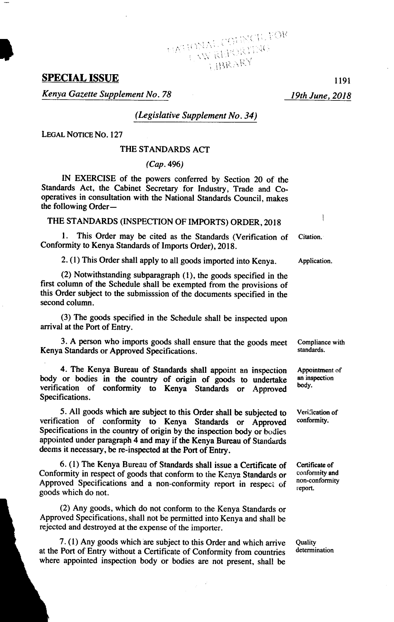# **SPECIAL ISSUE** *<sup>1191</sup>*

*Kenya Gazette Supplement No. 78 19th June, 2018* 

*(Legislative Supplement No. 34)* 

*LEGAL NOTICE No. 127* 

### THE STANDARDS ACT

*(Cap. 496)* 

IN EXERCISE of the powers conferred by Section *20* of the Standards Act, the Cabinet Secretary for Industry, Trade and Cooperatives in consultation with the National Standards Council, makes the following Order-

THE STANDARDS (INSPECTION OF IMPORTS) ORDER, *2018* 

1. This Order may be cited as the Standards (Verification of Citation. Conformity to Kenya Standards of Imports Order), *2018.* 

2. (1) This Order shall apply to all goods imported into Kenya. Application.

 $(2)$  Notwithstanding subparagraph  $(1)$ , the goods specified in the first column of the Schedule shall be exempted from the provisions of this Order subject to the submisssion of the documents specified in the second column.

(3) The goods specified in the Schedule shall be inspected upon arrival at the Port of Entry.

3. A person who imports goods shall ensure that the goods meet Compliance with standards or Annoved Specifications Kenya Standards or Approved Specifications.

4. The Kenya Bureau of Standards shall appoint an inspection Appointment of or bodies in the country of origin of goods to undertake an inspection body or bodies in the country of origin of goods to undertake an inspection verification of conformity to Kenya Standards or Approved body. Specifications.

5. All goods which are subject to this Order shall be subjected to Verification of conformity to Kenya, Standards or Approved conformity. verification of conformity to Kenya Standards or Approved Specifications in the country of origin by the inspection body or bodies appointed under paragraph *4* and may if the Kenya Bureau of Standards deems it necessary, be re-inspected at the Port of Entry.

6. (1) The Kenya Bureau of Standards shall issue a Certificate of Certificate of conformity and  $\frac{1}{2}$ Conformity in respect of goods that conform to the Kenya Standards or conformity and Approved Specifications, and a non-conformity and in assumed in a conformity Approved Specifications and a non-conformity report in respect of goods which do not.

*(2)* Any goods, which do not conform to the Kenya Standards or Approved Specifications, shall not be permitted into Kenya and shall be rejected and destroyed at the expense of the importer.

7. (1) Any goods which are subject to this Order and which arrive Quality at the Port of Entry without a Certificate of Conformity from countries where appointed inspection body or bodies are not present, shall be at the Port of Entry without a Certificate of Conformity from countries determination where appointed inspection body or bodies are not present, shall be

report.

 $\mathbf{I}$ 

**TATIONAL COUNCIL FOR**<br>TATIONAL COUNCIL FOR<br>TARARY **TBRARY**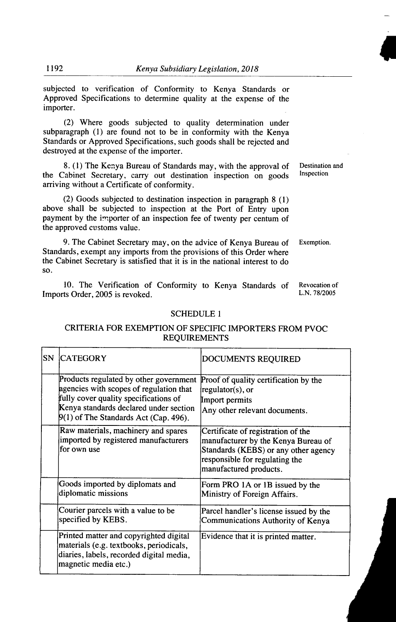subjected to verification of Conformity to Kenya Standards or Approved Specifications to determine quality at the expense of the importer.

(2) Where goods subjected to quality determination under subparagraph (1) are found not to be in conformity with the Kenya Standards or Approved Specifications, such goods shall be rejected and destroyed at the expense of the importer.

8. (1) The Kenya Bureau of Standards may, with the approval of Destination and<br>Cabinet Secretary carry out destination inspection on goods Inspection the Cabinet Secretary, carry out destination inspection on goods arriving without a Certificate of conformity.

(2) Goods subjected to destination inspection in paragraph 8 (1) above shall be subjected to inspection at the Port of Entry upon payment by the importer of an inspection fee of twenty per centum of the approved customs value.

9. The Cabinet Secretary may, on the advice of Kenya Bureau of Exemption. Standards, exempt any imports from the provisions of this Order where the Cabinet Secretary is satisfied that it is in the national interest to do so.

10. The Verification of Conformity to Kenya Standards of Revocation of the Order 2005 is revoked Imports Order, 2005 is revoked.

#### SCHEDULE 1

### CRITERIA FOR EXEMPTION OF SPECIFIC IMPORTERS FROM PVOC REQUIREMENTS

| SN | <b>CATEGORY</b>                                                                                                                                                                                                 | DOCUMENTS REQUIRED                                                                                                                                                            |
|----|-----------------------------------------------------------------------------------------------------------------------------------------------------------------------------------------------------------------|-------------------------------------------------------------------------------------------------------------------------------------------------------------------------------|
|    | Products regulated by other government<br>agencies with scopes of regulation that<br>fully cover quality specifications of<br>Kenya standards declared under section<br>$9(1)$ of The Standards Act (Cap. 496). | Proof of quality certification by the<br>regulator(s), or<br>Import permits<br>Any other relevant documents.                                                                  |
|    | Raw materials, machinery and spares<br>imported by registered manufacturers<br>for own use                                                                                                                      | Certificate of registration of the<br>manufacturer by the Kenya Bureau of<br>Standards (KEBS) or any other agency<br>responsible for regulating the<br>manufactured products. |
|    | Goods imported by diplomats and<br>diplomatic missions                                                                                                                                                          | Form PRO 1A or 1B issued by the<br>Ministry of Foreign Affairs.                                                                                                               |
|    | Courier parcels with a value to be<br>specified by KEBS.                                                                                                                                                        | Parcel handler's license issued by the<br>Communications Authority of Kenya                                                                                                   |
|    | Printed matter and copyrighted digital<br>materials (e.g. textbooks, periodicals,<br>diaries, labels, recorded digital media,<br>magnetic media etc.)                                                           | Evidence that it is printed matter.                                                                                                                                           |